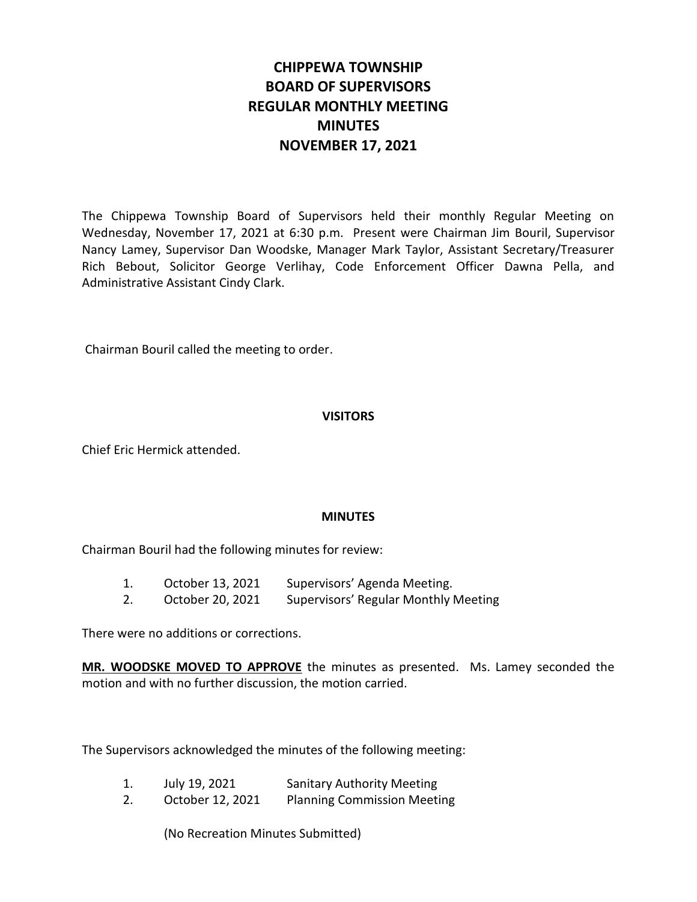# **CHIPPEWA TOWNSHIP BOARD OF SUPERVISORS REGULAR MONTHLY MEETING MINUTES NOVEMBER 17, 2021**

The Chippewa Township Board of Supervisors held their monthly Regular Meeting on Wednesday, November 17, 2021 at 6:30 p.m. Present were Chairman Jim Bouril, Supervisor Nancy Lamey, Supervisor Dan Woodske, Manager Mark Taylor, Assistant Secretary/Treasurer Rich Bebout, Solicitor George Verlihay, Code Enforcement Officer Dawna Pella, and Administrative Assistant Cindy Clark.

Chairman Bouril called the meeting to order.

## **VISITORS**

Chief Eric Hermick attended.

## **MINUTES**

Chairman Bouril had the following minutes for review:

- 1. October 13, 2021 Supervisors' Agenda Meeting.
- 2. October 20, 2021 Supervisors' Regular Monthly Meeting

There were no additions or corrections.

**MR. WOODSKE MOVED TO APPROVE** the minutes as presented. Ms. Lamey seconded the motion and with no further discussion, the motion carried.

The Supervisors acknowledged the minutes of the following meeting:

- 1. July 19, 2021 Sanitary Authority Meeting
- 2. October 12, 2021 Planning Commission Meeting

(No Recreation Minutes Submitted)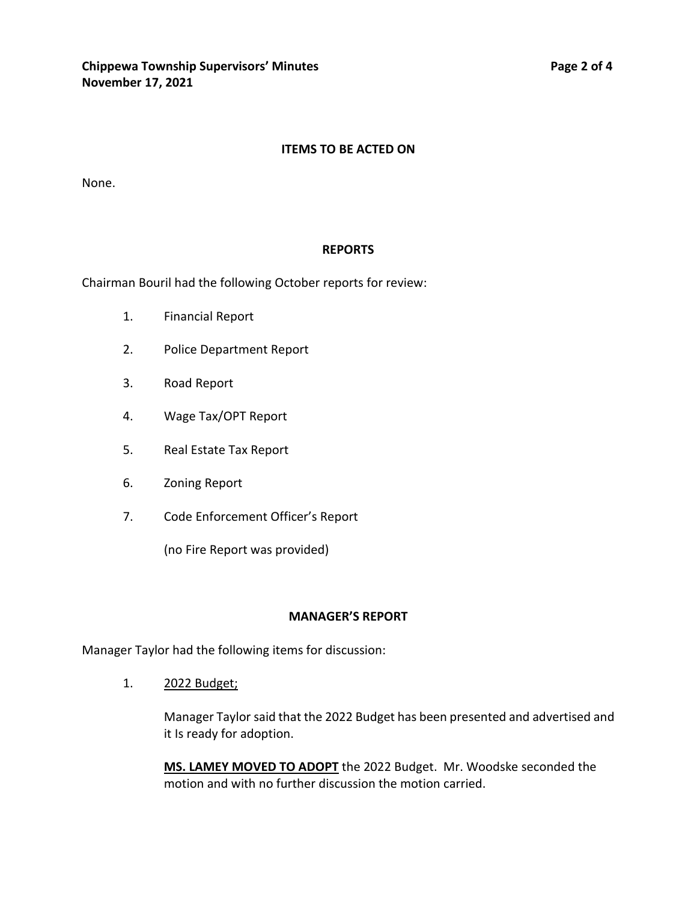#### **ITEMS TO BE ACTED ON**

None.

#### **REPORTS**

Chairman Bouril had the following October reports for review:

- 1. Financial Report
- 2. Police Department Report
- 3. Road Report
- 4. Wage Tax/OPT Report
- 5. Real Estate Tax Report
- 6. Zoning Report
- 7. Code Enforcement Officer's Report

(no Fire Report was provided)

#### **MANAGER'S REPORT**

Manager Taylor had the following items for discussion:

1. 2022 Budget;

Manager Taylor said that the 2022 Budget has been presented and advertised and it Is ready for adoption.

**MS. LAMEY MOVED TO ADOPT** the 2022 Budget. Mr. Woodske seconded the motion and with no further discussion the motion carried.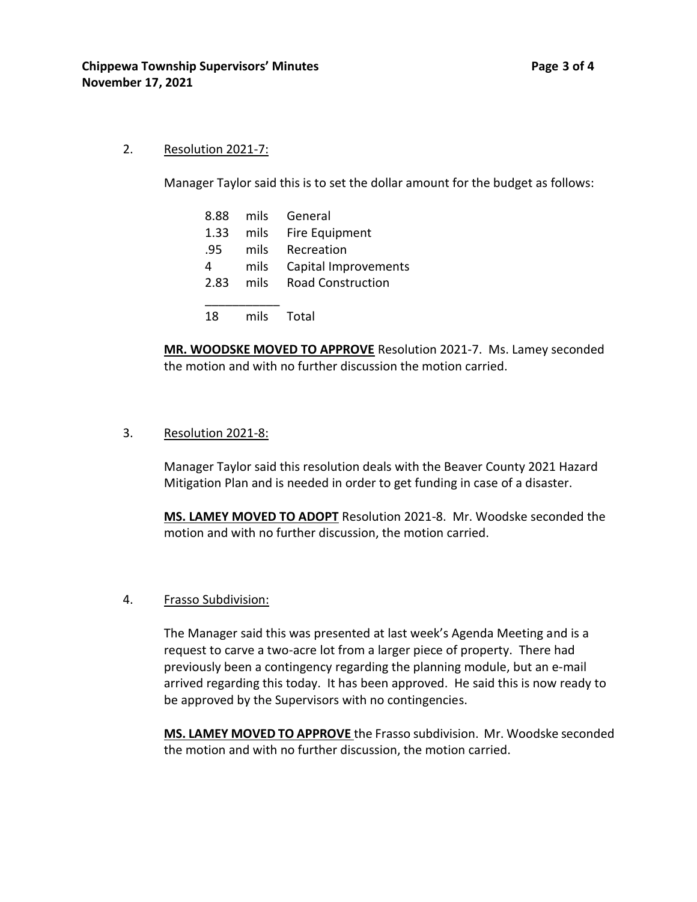#### 2. Resolution 2021-7:

Manager Taylor said this is to set the dollar amount for the budget as follows:

| 8.88 | mils | General                  |
|------|------|--------------------------|
| 1.33 | mils | Fire Equipment           |
| .95  | mils | Recreation               |
| 4    | mils | Capital Improvements     |
| 2.83 | mils | <b>Road Construction</b> |
|      |      |                          |
| 18   | mils | Total                    |

**MR. WOODSKE MOVED TO APPROVE** Resolution 2021-7. Ms. Lamey seconded the motion and with no further discussion the motion carried.

#### 3. Resolution 2021-8:

Manager Taylor said this resolution deals with the Beaver County 2021 Hazard Mitigation Plan and is needed in order to get funding in case of a disaster.

**MS. LAMEY MOVED TO ADOPT** Resolution 2021-8. Mr. Woodske seconded the motion and with no further discussion, the motion carried.

#### 4. Frasso Subdivision:

The Manager said this was presented at last week's Agenda Meeting and is a request to carve a two-acre lot from a larger piece of property. There had previously been a contingency regarding the planning module, but an e-mail arrived regarding this today. It has been approved. He said this is now ready to be approved by the Supervisors with no contingencies.

**MS. LAMEY MOVED TO APPROVE** the Frasso subdivision. Mr. Woodske seconded the motion and with no further discussion, the motion carried.